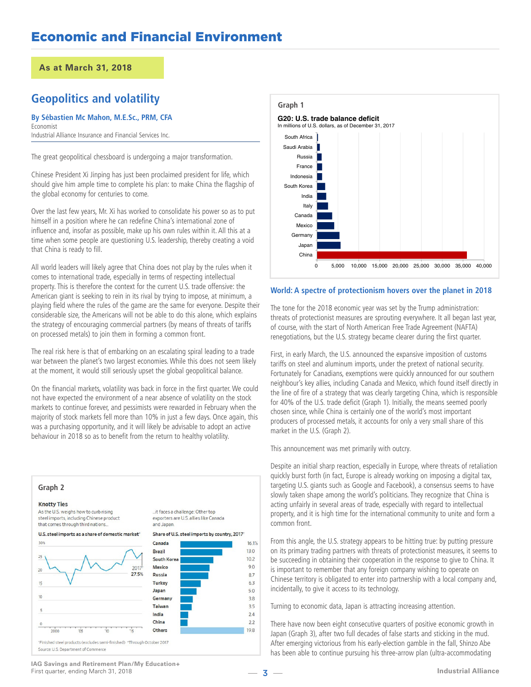# **Geopolitics and volatility**

#### **By Sébastien Mc Mahon, M.E.Sc., PRM, CFA** Economist

Industrial Alliance Insurance and Financial Services Inc.

The great geopolitical chessboard is undergoing a major transformation.

Chinese President Xi Jinping has just been proclaimed president for life, which should give him ample time to complete his plan: to make China the flagship of the global economy for centuries to come.

Over the last few years, Mr. Xi has worked to consolidate his power so as to put himself in a position where he can redefine China's international zone of influence and, insofar as possible, make up his own rules within it. All this at a time when some people are questioning U.S. leadership, thereby creating a void that China is ready to fill.

All world leaders will likely agree that China does not play by the rules when it comes to international trade, especially in terms of respecting intellectual property. This is therefore the context for the current U.S. trade offensive: the American giant is seeking to rein in its rival by trying to impose, at minimum, a playing field where the rules of the game are the same for everyone. Despite their considerable size, the Americans will not be able to do this alone, which explains the strategy of encouraging commercial partners (by means of threats of tariffs on processed metals) to join them in forming a common front.

The real risk here is that of embarking on an escalating spiral leading to a trade war between the planet's two largest economies. While this does not seem likely at the moment, it would still seriously upset the global geopolitical balance.

On the financial markets, volatility was back in force in the first quarter. We could not have expected the environment of a near absence of volatility on the stock markets to continue forever, and pessimists were rewarded in February when the majority of stock markets fell more than 10% in just a few days. Once again, this was a purchasing opportunity, and it will likely be advisable to adopt an active behaviour in 2018 so as to benefit from the return to healthy volatility.





### **World: A spectre of protectionism hovers over the planet in 2018**

The tone for the 2018 economic year was set by the Trump administration: threats of protectionist measures are sprouting everywhere. It all began last year, of course, with the start of North American Free Trade Agreement (NAFTA) renegotiations, but the U.S. strategy became clearer during the first quarter.

First, in early March, the U.S. announced the expansive imposition of customs tariffs on steel and aluminum imports, under the pretext of national security. Fortunately for Canadians, exemptions were quickly announced for our southern neighbour's key allies, including Canada and Mexico, which found itself directly in the line of fire of a strategy that was clearly targeting China, which is responsible for 40% of the U.S. trade deficit (Graph 1). Initially, the means seemed poorly chosen since, while China is certainly one of the world's most important producers of processed metals, it accounts for only a very small share of this market in the U.S. (Graph 2).

This announcement was met primarily with outcry.

Despite an initial sharp reaction, especially in Europe, where threats of retaliation quickly burst forth (in fact, Europe is already working on imposing a digital tax, targeting U.S. giants such as Google and Facebook), a consensus seems to have slowly taken shape among the world's politicians. They recognize that China is acting unfairly in several areas of trade, especially with regard to intellectual property, and it is high time for the international community to unite and form a common front.

From this angle, the U.S. strategy appears to be hitting true: by putting pressure on its primary trading partners with threats of protectionist measures, it seems to be succeeding in obtaining their cooperation in the response to give to China. It is important to remember that any foreign company wishing to operate on Chinese territory is obligated to enter into partnership with a local company and, incidentally, to give it access to its technology.

Turning to economic data, Japan is attracting increasing attention.

**IDENTIFY - Industrial Alliance**<br> **Industrial Alliance**<br> **Industrial Alliance** There have now been eight consecutive quarters of positive economic growth in Japan (Graph 3), after two full decades of false starts and sticking in the mud. After emerging victorious from his early-election gamble in the fall, Shinzo Abe

**IAG Savings and Retirement Plan/My Education+** First quarter, ending March 31, 2018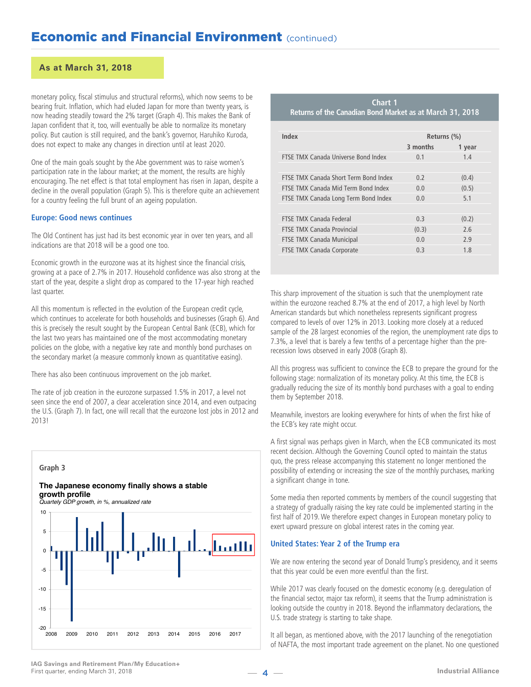## **As at March 31, 2018**

monetary policy, fiscal stimulus and structural reforms), which now seems to be bearing fruit. Inflation, which had eluded Japan for more than twenty years, is now heading steadily toward the 2% target (Graph 4). This makes the Bank of Japan confident that it, too, will eventually be able to normalize its monetary policy. But caution is still required, and the bank's governor, Haruhiko Kuroda, does not expect to make any changes in direction until at least 2020.

One of the main goals sought by the Abe government was to raise women's participation rate in the labour market; at the moment, the results are highly encouraging. The net effect is that total employment has risen in Japan, despite a decline in the overall population (Graph 5). This is therefore quite an achievement for a country feeling the full brunt of an ageing population.

#### **Europe: Good news continues**

The Old Continent has just had its best economic year in over ten years, and all indications are that 2018 will be a good one too.

Economic growth in the eurozone was at its highest since the financial crisis, growing at a pace of 2.7% in 2017. Household confidence was also strong at the start of the year, despite a slight drop as compared to the 17-year high reached last quarter.

All this momentum is reflected in the evolution of the European credit cycle, which continues to accelerate for both households and businesses (Graph 6). And this is precisely the result sought by the European Central Bank (ECB), which for the last two years has maintained one of the most accommodating monetary policies on the globe, with a negative key rate and monthly bond purchases on the secondary market (a measure commonly known as quantitative easing).

There has also been continuous improvement on the job market.

The rate of job creation in the eurozone surpassed 1.5% in 2017, a level not seen since the end of 2007, a clear acceleration since 2014, and even outpacing the U.S. (Graph 7). In fact, one will recall that the eurozone lost jobs in 2012 and 2013!



#### **The Japanese economy finally shows a stable growth profile**

*Quartely GDP growth, in %, annualized rate*



| Chart 1                                                  |  |  |  |  |  |  |
|----------------------------------------------------------|--|--|--|--|--|--|
| Returns of the Canadian Bond Market as at March 31, 2018 |  |  |  |  |  |  |

| Index                                 | Returns (%) |        |  |  |
|---------------------------------------|-------------|--------|--|--|
|                                       | 3 months    | 1 year |  |  |
| FTSE TMX Canada Universe Bond Index   | 0.1         | 1.4    |  |  |
|                                       |             |        |  |  |
| FTSF TMX Canada Short Term Bond Index | 0.2         | (0.4)  |  |  |
| FTSF TMX Canada Mid Term Bond Index   | 0.0         | (0.5)  |  |  |
| FTSE TMX Canada Long Term Bond Index  | 0.0         | 5.1    |  |  |
|                                       |             |        |  |  |
| FTSE TMX Canada Federal               | 0.3         | (0.2)  |  |  |
| <b>FTSF TMX Canada Provincial</b>     | (0.3)       | 7.6    |  |  |
| <b>FTSE TMX Canada Municipal</b>      | 0.0         | 2.9    |  |  |
| FTSE TMX Canada Corporate             | 0.3         | 1.8    |  |  |

This sharp improvement of the situation is such that the unemployment rate within the eurozone reached 8.7% at the end of 2017, a high level by North American standards but which nonetheless represents significant progress compared to levels of over 12% in 2013. Looking more closely at a reduced sample of the 28 largest economies of the region, the unemployment rate dips to 7.3%, a level that is barely a few tenths of a percentage higher than the prerecession lows observed in early 2008 (Graph 8).

All this progress was sufficient to convince the ECB to prepare the ground for the following stage: normalization of its monetary policy. At this time, the ECB is gradually reducing the size of its monthly bond purchases with a goal to ending them by September 2018.

Meanwhile, investors are looking everywhere for hints of when the first hike of the ECB's key rate might occur.

A first signal was perhaps given in March, when the ECB communicated its most recent decision. Although the Governing Council opted to maintain the status quo, the press release accompanying this statement no longer mentioned the possibility of extending or increasing the size of the monthly purchases, marking a significant change in tone.

Some media then reported comments by members of the council suggesting that a strategy of gradually raising the key rate could be implemented starting in the first half of 2019. We therefore expect changes in European monetary policy to exert upward pressure on global interest rates in the coming year.

#### **United States: Year 2 of the Trump era**

We are now entering the second year of Donald Trump's presidency, and it seems that this year could be even more eventful than the first.

While 2017 was clearly focused on the domestic economy (e.g. deregulation of the financial sector, major tax reform), it seems that the Trump administration is looking outside the country in 2018. Beyond the inflammatory declarations, the U.S. trade strategy is starting to take shape.

It all began, as mentioned above, with the 2017 launching of the renegotiation of NAFTA, the most important trade agreement on the planet. No one questioned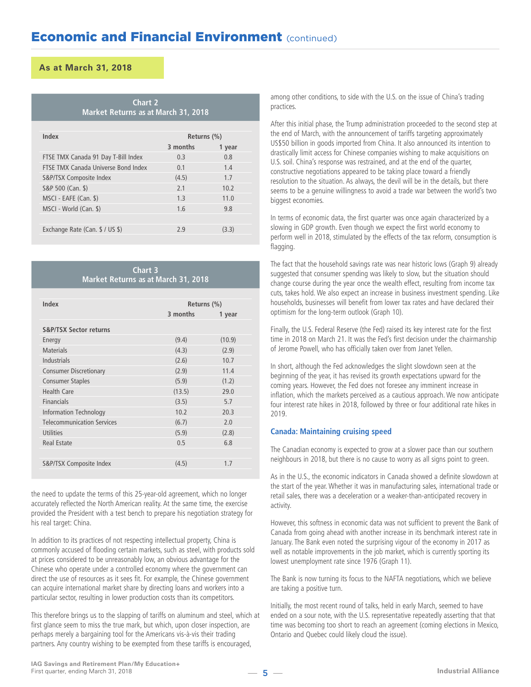| <b>Chart 2</b> |  |                                     |  |  |  |  |  |
|----------------|--|-------------------------------------|--|--|--|--|--|
|                |  | Market Returns as at March 31, 2018 |  |  |  |  |  |

| Index                               | Returns (%) |        |  |  |
|-------------------------------------|-------------|--------|--|--|
|                                     | 3 months    | 1 year |  |  |
| FTSE TMX Canada 91 Day T-Bill Index | 0.3         | 0.8    |  |  |
| FTSF TMX Canada Universe Bond Index | 0.1         | 1.4    |  |  |
| S&P/TSX Composite Index             | (4.5)       | 1.7    |  |  |
| S&P 500 (Can. \$)                   | 7.1         | 10.2   |  |  |
| MSCI - EAFE (Can. \$)               | 1.3         | 11.0   |  |  |
| MSCI - World (Can. \$)              | 1.6         | 9.8    |  |  |
|                                     |             |        |  |  |
| Exchange Rate (Can. \$ / US \$)     | 7.9         | (3.3)  |  |  |
|                                     |             |        |  |  |

### **Chart 3 Market Returns as at March 31, 2018**

| Index                             | Returns $(\%)$ |        |  |
|-----------------------------------|----------------|--------|--|
|                                   | 3 months       | 1 year |  |
| <b>S&amp;P/TSX Sector returns</b> |                |        |  |
| Energy                            | (9.4)          | (10.9) |  |
| <b>Materials</b>                  | (4.3)          | (2.9)  |  |
| Industrials                       | (2.6)          | 10.7   |  |
| <b>Consumer Discretionary</b>     | (2.9)          | 11.4   |  |
| <b>Consumer Staples</b>           | (5.9)          | (1.2)  |  |
| Health Care                       | (13.5)         | 29.0   |  |
| <b>Financials</b>                 | (3.5)          | 5.7    |  |
| Information Technology            | 10.2           | 20.3   |  |
| <b>Telecommunication Services</b> | (6.7)          | 2.0    |  |
| <b>Utilities</b>                  | (5.9)          | (2.8)  |  |
| <b>Real Estate</b>                | 0.5            | 6.8    |  |
|                                   |                |        |  |
| S&P/TSX Composite Index           | (4.5)          | 1.7    |  |

the need to update the terms of this 25-year-old agreement, which no longer accurately reflected the North American reality. At the same time, the exercise provided the President with a test bench to prepare his negotiation strategy for his real target: China.

In addition to its practices of not respecting intellectual property, China is commonly accused of flooding certain markets, such as steel, with products sold at prices considered to be unreasonably low, an obvious advantage for the Chinese who operate under a controlled economy where the government can direct the use of resources as it sees fit. For example, the Chinese government can acquire international market share by directing loans and workers into a particular sector, resulting in lower production costs than its competitors.

This therefore brings us to the slapping of tariffs on aluminum and steel, which at first glance seem to miss the true mark, but which, upon closer inspection, are perhaps merely a bargaining tool for the Americans vis-à-vis their trading partners. Any country wishing to be exempted from these tariffs is encouraged,

among other conditions, to side with the U.S. on the issue of China's trading practices.

After this initial phase, the Trump administration proceeded to the second step at the end of March, with the announcement of tariffs targeting approximately US\$50 billion in goods imported from China. It also announced its intention to drastically limit access for Chinese companies wishing to make acquisitions on U.S. soil. China's response was restrained, and at the end of the quarter, constructive negotiations appeared to be taking place toward a friendly resolution to the situation. As always, the devil will be in the details, but there seems to be a genuine willingness to avoid a trade war between the world's two biggest economies.

In terms of economic data, the first quarter was once again characterized by a slowing in GDP growth. Even though we expect the first world economy to perform well in 2018, stimulated by the effects of the tax reform, consumption is flagging.

The fact that the household savings rate was near historic lows (Graph 9) already suggested that consumer spending was likely to slow, but the situation should change course during the year once the wealth effect, resulting from income tax cuts, takes hold. We also expect an increase in business investment spending. Like households, businesses will benefit from lower tax rates and have declared their optimism for the long-term outlook (Graph 10).

Finally, the U.S. Federal Reserve (the Fed) raised its key interest rate for the first time in 2018 on March 21. It was the Fed's first decision under the chairmanship of Jerome Powell, who has officially taken over from Janet Yellen.

In short, although the Fed acknowledges the slight slowdown seen at the beginning of the year, it has revised its growth expectations upward for the coming years. However, the Fed does not foresee any imminent increase in inflation, which the markets perceived as a cautious approach. We now anticipate four interest rate hikes in 2018, followed by three or four additional rate hikes in 2019.

### **Canada: Maintaining cruising speed**

The Canadian economy is expected to grow at a slower pace than our southern neighbours in 2018, but there is no cause to worry as all signs point to green.

As in the U.S., the economic indicators in Canada showed a definite slowdown at the start of the year. Whether it was in manufacturing sales, international trade or retail sales, there was a deceleration or a weaker-than-anticipated recovery in activity.

However, this softness in economic data was not sufficient to prevent the Bank of Canada from going ahead with another increase in its benchmark interest rate in January. The Bank even noted the surprising vigour of the economy in 2017 as well as notable improvements in the job market, which is currently sporting its lowest unemployment rate since 1976 (Graph 11).

The Bank is now turning its focus to the NAFTA negotiations, which we believe are taking a positive turn.

Initially, the most recent round of talks, held in early March, seemed to have ended on a sour note, with the U.S. representative repeatedly asserting that that time was becoming too short to reach an agreement (coming elections in Mexico, Ontario and Quebec could likely cloud the issue).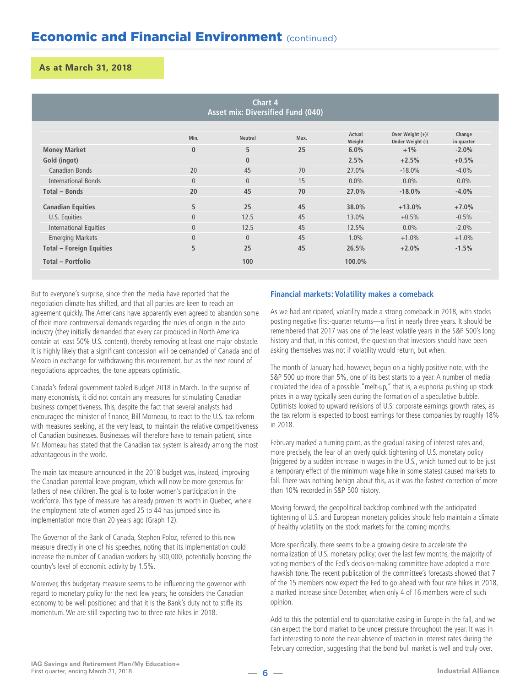| Chart 4<br>Asset mix: Diversified Fund (040) |                |                |      |                  |                                      |                      |  |
|----------------------------------------------|----------------|----------------|------|------------------|--------------------------------------|----------------------|--|
|                                              | Min.           | <b>Neutral</b> | Max. | Actual<br>Weight | Over Weight (+)/<br>Under Weight (-) | Change<br>in quarter |  |
| <b>Money Market</b>                          | $\mathbf{0}$   | 5              | 25   | 6.0%             | $+1%$                                | $-2.0%$              |  |
| Gold (ingot)                                 |                | $\bf{0}$       |      | 2.5%             | $+2.5%$                              | $+0.5%$              |  |
| Canadian Bonds                               | 20             | 45             | 70   | 27.0%            | $-18.0\%$                            | $-4.0\%$             |  |
| <b>International Bonds</b>                   | $\overline{0}$ | $\theta$       | 15   | $0.0\%$          | $0.0\%$                              | $0.0\%$              |  |
| Total - Bonds                                | 20             | 45             | 70   | 27.0%            | $-18.0%$                             | $-4.0%$              |  |
| <b>Canadian Equities</b>                     | 5              | 25             | 45   | 38.0%            | $+13.0%$                             | $+7.0%$              |  |
| U.S. Equities                                | $\overline{0}$ | 12.5           | 45   | 13.0%            | $+0.5%$                              | $-0.5%$              |  |
| International Equities                       | $\overline{0}$ | 12.5           | 45   | 12.5%            | $0.0\%$                              | $-2.0%$              |  |
| <b>Emerging Markets</b>                      | $\overline{0}$ | $\theta$       | 45   | 1.0%             | $+1.0%$                              | $+1.0%$              |  |
| <b>Total - Foreign Equities</b>              | 5              | 25             | 45   | 26.5%            | $+2.0%$                              | $-1.5%$              |  |
| Total - Portfolio                            |                | 100            |      | 100.0%           |                                      |                      |  |

But to everyone's surprise, since then the media have reported that the negotiation climate has shifted, and that all parties are keen to reach an agreement quickly. The Americans have apparently even agreed to abandon some of their more controversial demands regarding the rules of origin in the auto industry (they initially demanded that every car produced in North America contain at least 50% U.S. content), thereby removing at least one major obstacle. It is highly likely that a significant concession will be demanded of Canada and of Mexico in exchange for withdrawing this requirement, but as the next round of negotiations approaches, the tone appears optimistic.

Canada's federal government tabled Budget 2018 in March. To the surprise of many economists, it did not contain any measures for stimulating Canadian business competitiveness. This, despite the fact that several analysts had encouraged the minister of finance, Bill Morneau, to react to the U.S. tax reform with measures seeking, at the very least, to maintain the relative competitiveness of Canadian businesses. Businesses will therefore have to remain patient, since Mr. Morneau has stated that the Canadian tax system is already among the most advantageous in the world.

The main tax measure announced in the 2018 budget was, instead, improving the Canadian parental leave program, which will now be more generous for fathers of new children. The goal is to foster women's participation in the workforce. This type of measure has already proven its worth in Quebec, where the employment rate of women aged 25 to 44 has jumped since its implementation more than 20 years ago (Graph 12).

The Governor of the Bank of Canada, Stephen Poloz, referred to this new measure directly in one of his speeches, noting that its implementation could increase the number of Canadian workers by 500,000, potentially boosting the country's level of economic activity by 1.5%.

Moreover, this budgetary measure seems to be influencing the governor with regard to monetary policy for the next few years; he considers the Canadian economy to be well positioned and that it is the Bank's duty not to stifle its momentum. We are still expecting two to three rate hikes in 2018.

### **Financial markets: Volatility makes a comeback**

As we had anticipated, volatility made a strong comeback in 2018, with stocks posting negative first-quarter returns—a first in nearly three years. It should be remembered that 2017 was one of the least volatile years in the S&P 500's long history and that, in this context, the question that investors should have been asking themselves was not if volatility would return, but when.

The month of January had, however, begun on a highly positive note, with the S&P 500 up more than 5%, one of its best starts to a year. A number of media circulated the idea of a possible "melt-up," that is, a euphoria pushing up stock prices in a way typically seen during the formation of a speculative bubble. Optimists looked to upward revisions of U.S. corporate earnings growth rates, as the tax reform is expected to boost earnings for these companies by roughly 18% in 2018.

February marked a turning point, as the gradual raising of interest rates and, more precisely, the fear of an overly quick tightening of U.S. monetary policy (triggered by a sudden increase in wages in the U.S., which turned out to be just a temporary effect of the minimum wage hike in some states) caused markets to fall. There was nothing benign about this, as it was the fastest correction of more than 10% recorded in S&P 500 history.

Moving forward, the geopolitical backdrop combined with the anticipated tightening of U.S. and European monetary policies should help maintain a climate of healthy volatility on the stock markets for the coming months.

More specifically, there seems to be a growing desire to accelerate the normalization of U.S. monetary policy; over the last few months, the majority of voting members of the Fed's decision-making committee have adopted a more hawkish tone. The recent publication of the committee's forecasts showed that 7 of the 15 members now expect the Fed to go ahead with four rate hikes in 2018, a marked increase since December, when only 4 of 16 members were of such opinion.

February correction, suggesting that the bond bull market is well and truly over.<br> **Industrial Alliance**<br> **Industrial Alliance** Add to this the potential end to quantitative easing in Europe in the fall, and we can expect the bond market to be under pressure throughout the year. It was in fact interesting to note the near-absence of reaction in interest rates during the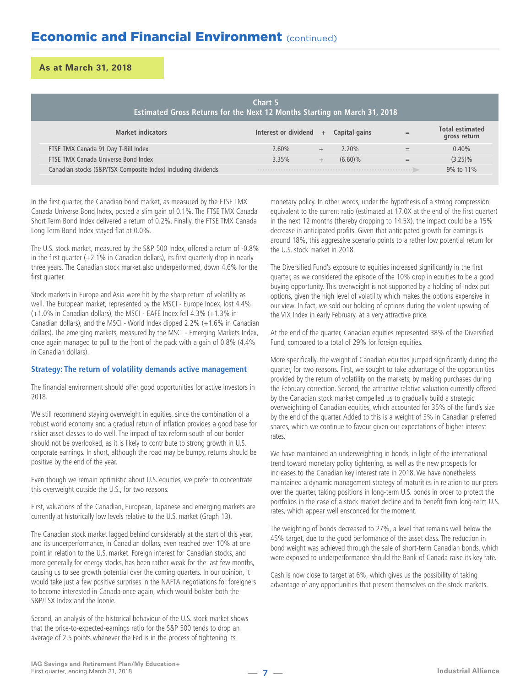| Chart 5<br><b>Estimated Gross Returns for the Next 12 Months Starting on March 31, 2018</b> |                          |        |               |     |                                        |  |
|---------------------------------------------------------------------------------------------|--------------------------|--------|---------------|-----|----------------------------------------|--|
| <b>Market indicators</b>                                                                    | Interest or dividend $+$ |        | Capital gains | $=$ | <b>Total estimated</b><br>gross return |  |
| FTSE TMX Canada 91 Day T-Bill Index                                                         | $2.60\%$                 |        | $2.20\%$      |     | 0.40%                                  |  |
| FTSE TMX Canada Universe Bond Index                                                         | 3.35%                    | $^{+}$ | $(6.60)\%$    | $=$ | $(3.25)\%$                             |  |
| Canadian stocks (S&P/TSX Composite Index) including dividends                               |                          |        |               |     | 9% to 11%                              |  |

In the first quarter, the Canadian bond market, as measured by the FTSE TMX Canada Universe Bond Index, posted a slim gain of 0.1%. The FTSE TMX Canada Short Term Bond Index delivered a return of 0.2%. Finally, the FTSE TMX Canada Long Term Bond Index stayed flat at 0.0%.

The U.S. stock market, measured by the S&P 500 Index, offered a return of -0.8% in the first quarter (+2.1% in Canadian dollars), its first quarterly drop in nearly three years. The Canadian stock market also underperformed, down 4.6% for the first quarter.

Stock markets in Europe and Asia were hit by the sharp return of volatility as well. The European market, represented by the MSCI - Europe Index, lost 4.4% (+1.0% in Canadian dollars), the MSCI - EAFE Index fell 4.3% (+1.3% in Canadian dollars), and the MSCI - World Index dipped 2.2% (+1.6% in Canadian dollars). The emerging markets, measured by the MSCI - Emerging Markets Index, once again managed to pull to the front of the pack with a gain of 0.8% (4.4% in Canadian dollars).

### **Strategy: The return of volatility demands active management**

The financial environment should offer good opportunities for active investors in 2018.

We still recommend staying overweight in equities, since the combination of a robust world economy and a gradual return of inflation provides a good base for riskier asset classes to do well. The impact of tax reform south of our border should not be overlooked, as it is likely to contribute to strong growth in U.S. corporate earnings. In short, although the road may be bumpy, returns should be positive by the end of the year.

Even though we remain optimistic about U.S. equities, we prefer to concentrate this overweight outside the U.S., for two reasons.

First, valuations of the Canadian, European, Japanese and emerging markets are currently at historically low levels relative to the U.S. market (Graph 13).

The Canadian stock market lagged behind considerably at the start of this year, and its underperformance, in Canadian dollars, even reached over 10% at one point in relation to the U.S. market. Foreign interest for Canadian stocks, and more generally for energy stocks, has been rather weak for the last few months, causing us to see growth potential over the coming quarters. In our opinion, it would take just a few positive surprises in the NAFTA negotiations for foreigners to become interested in Canada once again, which would bolster both the S&P/TSX Index and the loonie.

Second, an analysis of the historical behaviour of the U.S. stock market shows that the price-to-expected-earnings ratio for the S&P 500 tends to drop an average of 2.5 points whenever the Fed is in the process of tightening its

monetary policy. In other words, under the hypothesis of a strong compression equivalent to the current ratio (estimated at 17.0X at the end of the first quarter) in the next 12 months (thereby dropping to 14.5X), the impact could be a 15% decrease in anticipated profits. Given that anticipated growth for earnings is around 18%, this aggressive scenario points to a rather low potential return for the U.S. stock market in 2018.

The Diversified Fund's exposure to equities increased significantly in the first quarter, as we considered the episode of the 10% drop in equities to be a good buying opportunity. This overweight is not supported by a holding of index put options, given the high level of volatility which makes the options expensive in our view. In fact, we sold our holding of options during the violent upswing of the VIX Index in early February, at a very attractive price.

At the end of the quarter, Canadian equities represented 38% of the Diversified Fund, compared to a total of 29% for foreign equities.

More specifically, the weight of Canadian equities jumped significantly during the quarter, for two reasons. First, we sought to take advantage of the opportunities provided by the return of volatility on the markets, by making purchases during the February correction. Second, the attractive relative valuation currently offered by the Canadian stock market compelled us to gradually build a strategic overweighting of Canadian equities, which accounted for 35% of the fund's size by the end of the quarter. Added to this is a weight of 3% in Canadian preferred shares, which we continue to favour given our expectations of higher interest rates.

We have maintained an underweighting in bonds, in light of the international trend toward monetary policy tightening, as well as the new prospects for increases to the Canadian key interest rate in 2018. We have nonetheless maintained a dynamic management strategy of maturities in relation to our peers over the quarter, taking positions in long-term U.S. bonds in order to protect the portfolios in the case of a stock market decline and to benefit from long-term U.S. rates, which appear well ensconced for the moment.

The weighting of bonds decreased to 27%, a level that remains well below the 45% target, due to the good performance of the asset class. The reduction in bond weight was achieved through the sale of short-term Canadian bonds, which were exposed to underperformance should the Bank of Canada raise its key rate.

Cash is now close to target at 6%, which gives us the possibility of taking advantage of any opportunities that present themselves on the stock markets.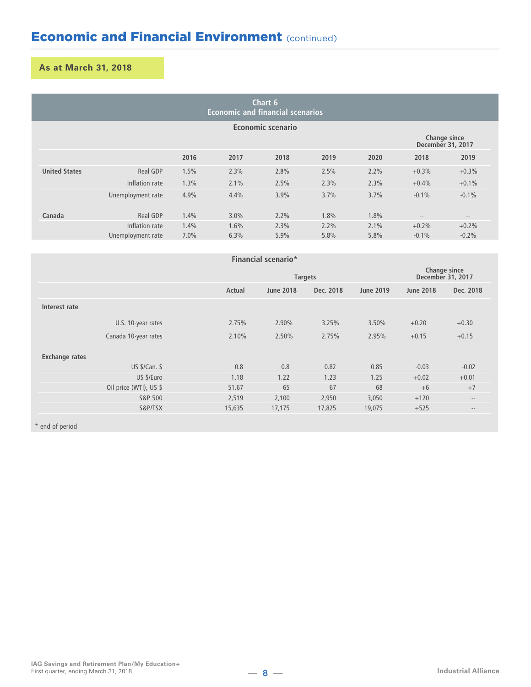# **As at March 31, 2018**

| Chart 6<br><b>Economic and financial scenarios</b> |                   |      |      |         |      |      |                                   |                                                           |
|----------------------------------------------------|-------------------|------|------|---------|------|------|-----------------------------------|-----------------------------------------------------------|
|                                                    | Economic scenario |      |      |         |      |      |                                   |                                                           |
|                                                    |                   |      |      |         |      |      | Change since<br>December 31, 2017 |                                                           |
|                                                    |                   | 2016 | 2017 | 2018    | 2019 | 2020 | 2018                              | 2019                                                      |
| <b>United States</b>                               | Real GDP          | 1.5% | 2.3% | 2.8%    | 2.5% | 2.2% | $+0.3%$                           | $+0.3%$                                                   |
|                                                    | Inflation rate    | 1.3% | 2.1% | 2.5%    | 2.3% | 2.3% | $+0.4%$                           | $+0.1%$                                                   |
|                                                    | Unemployment rate | 4.9% | 4.4% | 3.9%    | 3.7% | 3.7% | $-0.1\%$                          | $-0.1%$                                                   |
| Canada                                             | Real GDP          | 1.4% | 3.0% | $2.2\%$ | 1.8% | 1.8% |                                   |                                                           |
|                                                    | Inflation rate    | 1.4% | 1.6% | 2.3%    | 2.2% | 2.1% | $\cdots$<br>$+0.2%$               | $\hspace{0.1mm}-\hspace{0.1mm}-\hspace{0.1mm}$<br>$+0.2%$ |
|                                                    | Unemployment rate | 7.0% | 6.3% | 5.9%    | 5.8% | 5.8% | $-0.1\%$                          | $-0.2%$                                                   |

| <b>Financial scenario*</b> |        |                  |           |                                   |                  |                   |  |  |
|----------------------------|--------|------------------|-----------|-----------------------------------|------------------|-------------------|--|--|
|                            |        | <b>Targets</b>   |           | Change since<br>December 31, 2017 |                  |                   |  |  |
|                            | Actual | <b>June 2018</b> | Dec. 2018 | <b>June 2019</b>                  | <b>June 2018</b> | Dec. 2018         |  |  |
| Interest rate              |        |                  |           |                                   |                  |                   |  |  |
| U.S. 10-year rates         | 2.75%  | 2.90%            | 3.25%     | 3.50%                             | $+0.20$          | $+0.30$           |  |  |
| Canada 10-year rates       | 2.10%  | 2.50%            | 2.75%     | 2.95%                             | $+0.15$          | $+0.15$           |  |  |
| <b>Exchange rates</b>      |        |                  |           |                                   |                  |                   |  |  |
| US \$/Can. \$              | 0.8    | 0.8              | 0.82      | 0.85                              | $-0.03$          | $-0.02$           |  |  |
| US \$/Euro                 | 1.18   | 1.22             | 1.23      | 1.25                              | $+0.02$          | $+0.01$           |  |  |
| Oil price (WTI), US \$     | 51.67  | 65               | 67        | 68                                | $+6$             | $+7$              |  |  |
| S&P 500                    | 2,519  | 2,100            | 2,950     | 3,050                             | $+120$           | $-\,-$            |  |  |
| S&P/TSX                    | 15,635 | 17,175           | 17,825    | 19,075                            | $+525$           | $\qquad \qquad -$ |  |  |

\* end of period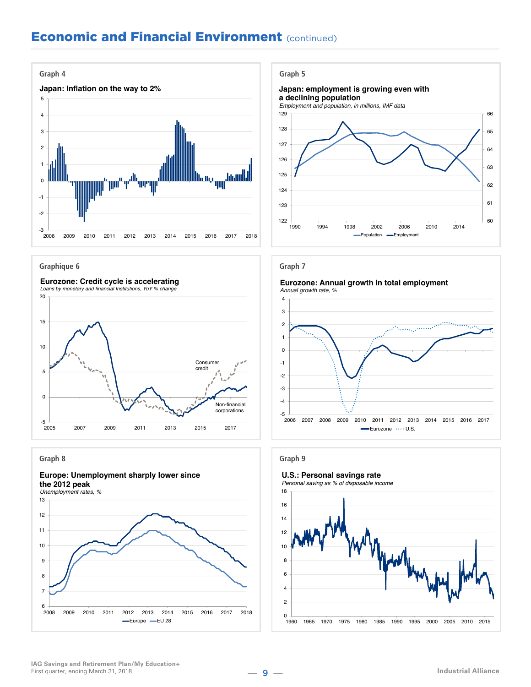

**Graphique 6**



#### **Graph 8**



*Unemployment rates, %*





#### **Graph 7**

#### **Eurozone: Annual growth in total employment** *Annual growth rate, %*





**IAG Savings and Retirement Plan/My Education+** First quarter, ending March 31, 2018